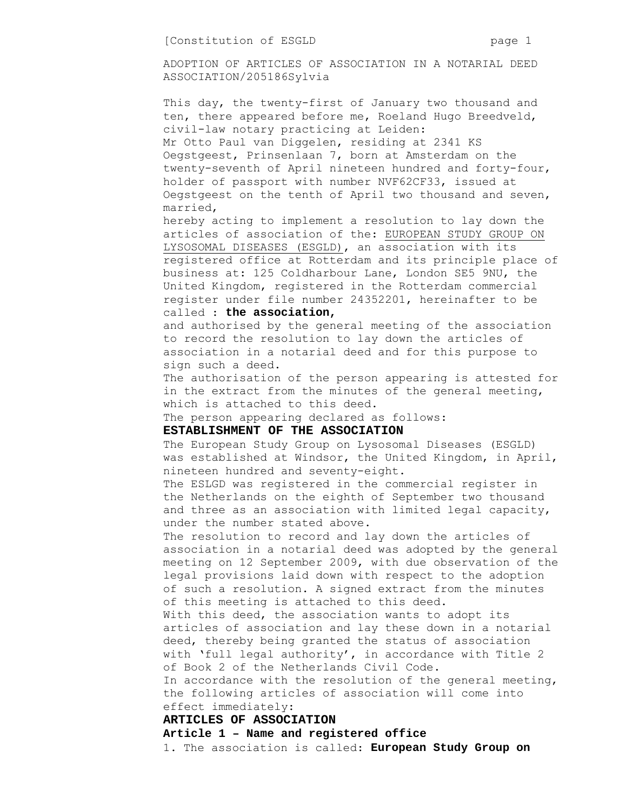ADOPTION OF ARTICLES OF ASSOCIATION IN A NOTARIAL DEED ASSOCIATION/205186Sylvia

This day, the twenty-first of January two thousand and ten, there appeared before me, Roeland Hugo Breedveld, civil-law notary practicing at Leiden: Mr Otto Paul van Diggelen, residing at 2341 KS Oegstgeest, Prinsenlaan 7, born at Amsterdam on the twenty-seventh of April nineteen hundred and forty-four, holder of passport with number NVF62CF33, issued at Oegstgeest on the tenth of April two thousand and seven, married,

hereby acting to implement a resolution to lay down the articles of association of the: EUROPEAN STUDY GROUP ON LYSOSOMAL DISEASES (ESGLD), an association with its registered office at Rotterdam and its principle place of business at: 125 Coldharbour Lane, London SE5 9NU, the United Kingdom, registered in the Rotterdam commercial register under file number 24352201, hereinafter to be called : **the association,** 

# and authorised by the general meeting of the association to record the resolution to lay down the articles of association in a notarial deed and for this purpose to sign such a deed.

The authorisation of the person appearing is attested for in the extract from the minutes of the general meeting, which is attached to this deed.

The person appearing declared as follows:

#### **ESTABLISHMENT OF THE ASSOCIATION**

The European Study Group on Lysosomal Diseases (ESGLD) was established at Windsor, the United Kingdom, in April, nineteen hundred and seventy-eight.

The ESLGD was registered in the commercial register in the Netherlands on the eighth of September two thousand and three as an association with limited legal capacity, under the number stated above.

The resolution to record and lay down the articles of association in a notarial deed was adopted by the general meeting on 12 September 2009, with due observation of the legal provisions laid down with respect to the adoption of such a resolution. A signed extract from the minutes of this meeting is attached to this deed.

With this deed, the association wants to adopt its articles of association and lay these down in a notarial deed, thereby being granted the status of association with 'full legal authority', in accordance with Title 2 of Book 2 of the Netherlands Civil Code.

In accordance with the resolution of the general meeting, the following articles of association will come into effect immediately:

### **ARTICLES OF ASSOCIATION**

**Article 1 – Name and registered office** 

1. The association is called: **European Study Group on**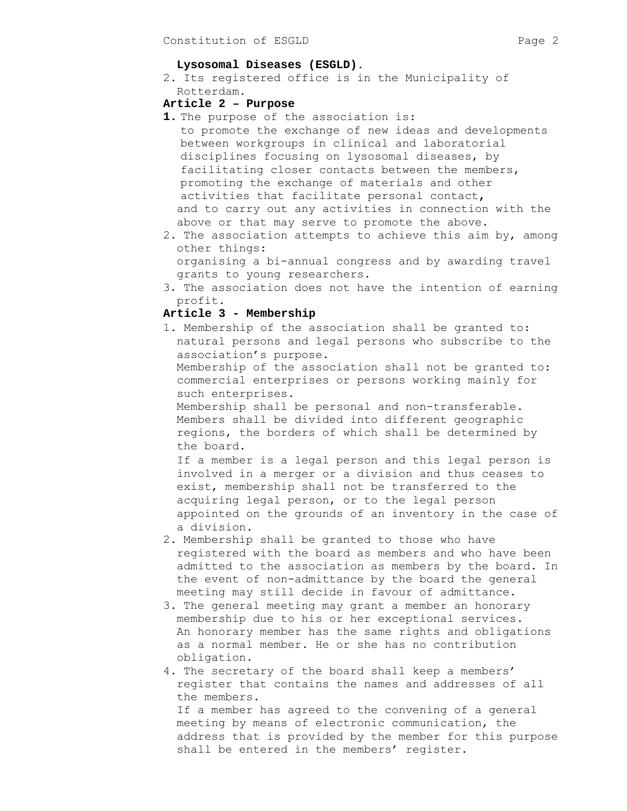#### **Lysosomal Diseases (ESGLD)**.

2. Its registered office is in the Municipality of Rotterdam.

# **Article 2 – Purpose**

- **1.** The purpose of the association is: to promote the exchange of new ideas and developments between workgroups in clinical and laboratorial disciplines focusing on lysosomal diseases, by facilitating closer contacts between the members, promoting the exchange of materials and other activities that facilitate personal contact**,**  and to carry out any activities in connection with the above or that may serve to promote the above.
- 2. The association attempts to achieve this aim by, among other things: organising a bi-annual congress and by awarding travel
	- grants to young researchers.
- 3*.* The association does not have the intention of earning profit.

# **Article 3 - Membership**

1. Membership of the association shall be granted to: natural persons and legal persons who subscribe to the association's purpose. Membership of the association shall not be granted to:

commercial enterprises or persons working mainly for such enterprises.

 Membership shall be personal and non-transferable. Members shall be divided into different geographic regions, the borders of which shall be determined by the board.

 If a member is a legal person and this legal person is involved in a merger or a division and thus ceases to exist, membership shall not be transferred to the acquiring legal person, or to the legal person appointed on the grounds of an inventory in the case of a division.

- 2. Membership shall be granted to those who have registered with the board as members and who have been admitted to the association as members by the board. In the event of non-admittance by the board the general meeting may still decide in favour of admittance.
- 3. The general meeting may grant a member an honorary membership due to his or her exceptional services. An honorary member has the same rights and obligations as a normal member. He or she has no contribution obligation.
- 4. The secretary of the board shall keep a members' register that contains the names and addresses of all the members.

 If a member has agreed to the convening of a general meeting by means of electronic communication, the address that is provided by the member for this purpose shall be entered in the members' register.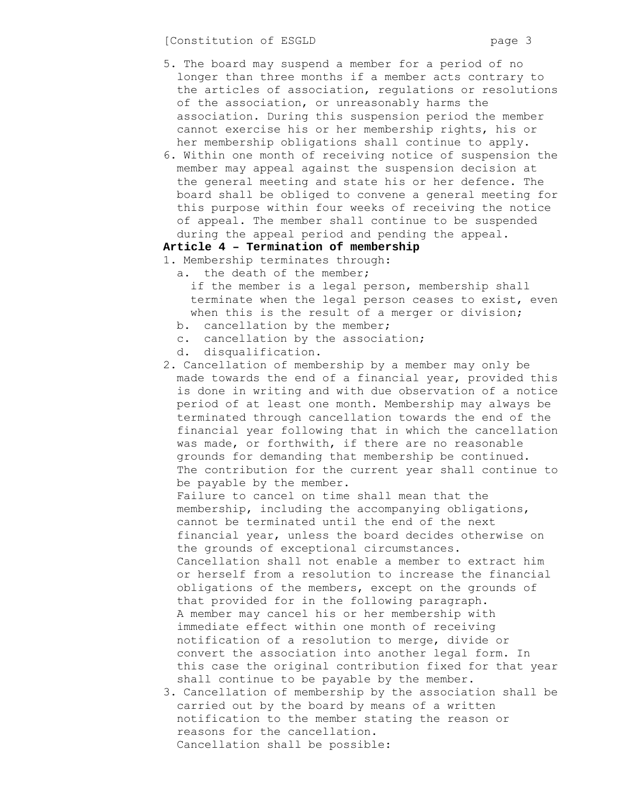- 5. The board may suspend a member for a period of no longer than three months if a member acts contrary to the articles of association, regulations or resolutions of the association, or unreasonably harms the association. During this suspension period the member cannot exercise his or her membership rights, his or her membership obligations shall continue to apply.
- 6. Within one month of receiving notice of suspension the member may appeal against the suspension decision at the general meeting and state his or her defence. The board shall be obliged to convene a general meeting for this purpose within four weeks of receiving the notice of appeal. The member shall continue to be suspended during the appeal period and pending the appeal.

# **Article 4 – Termination of membership**

- 1. Membership terminates through:
	- a. the death of the member; if the member is a legal person, membership shall terminate when the legal person ceases to exist, even when this is the result of a merger or division;
	- b. cancellation by the member;
	- c. cancellation by the association;
	- d. disqualification.
- 2. Cancellation of membership by a member may only be made towards the end of a financial year, provided this is done in writing and with due observation of a notice period of at least one month. Membership may always be terminated through cancellation towards the end of the financial year following that in which the cancellation was made, or forthwith, if there are no reasonable grounds for demanding that membership be continued. The contribution for the current year shall continue to be payable by the member. Failure to cancel on time shall mean that the membership, including the accompanying obligations, cannot be terminated until the end of the next financial year, unless the board decides otherwise on the grounds of exceptional circumstances. Cancellation shall not enable a member to extract him or herself from a resolution to increase the financial obligations of the members, except on the grounds of that provided for in the following paragraph. A member may cancel his or her membership with immediate effect within one month of receiving notification of a resolution to merge, divide or convert the association into another legal form. In this case the original contribution fixed for that year shall continue to be payable by the member.
- 3. Cancellation of membership by the association shall be carried out by the board by means of a written notification to the member stating the reason or reasons for the cancellation. Cancellation shall be possible: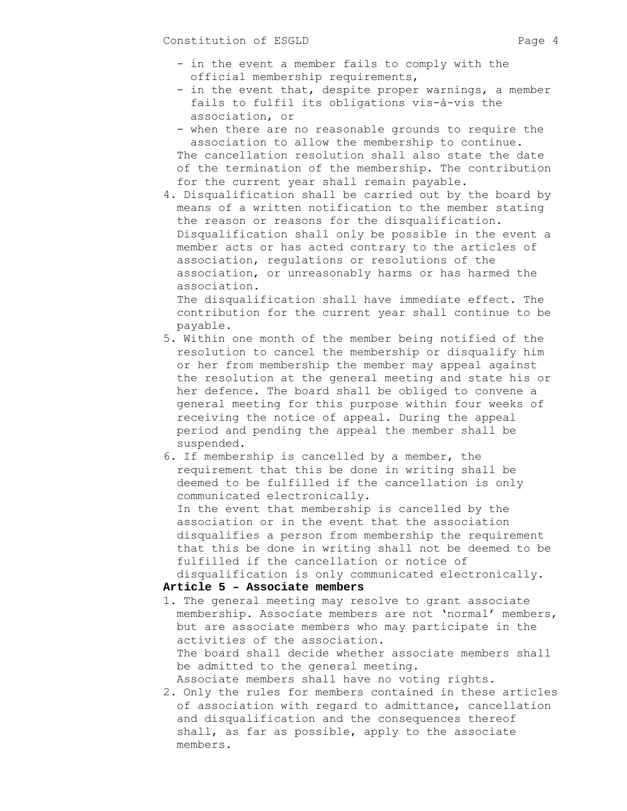- in the event a member fails to comply with the official membership requirements,
- in the event that, despite proper warnings, a member fails to fulfil its obligations vis-á-vis the association, or
- when there are no reasonable grounds to require the association to allow the membership to continue. The cancellation resolution shall also state the date of the termination of the membership. The contribution for the current year shall remain payable.
- 4. Disqualification shall be carried out by the board by means of a written notification to the member stating the reason or reasons for the disqualification. Disqualification shall only be possible in the event a member acts or has acted contrary to the articles of association, regulations or resolutions of the association, or unreasonably harms or has harmed the association. The disqualification shall have immediate effect. The

contribution for the current year shall continue to be payable.

- 5. Within one month of the member being notified of the resolution to cancel the membership or disqualify him or her from membership the member may appeal against the resolution at the general meeting and state his or her defence. The board shall be obliged to convene a general meeting for this purpose within four weeks of receiving the notice of appeal. During the appeal period and pending the appeal the member shall be suspended.
- 6. If membership is cancelled by a member, the requirement that this be done in writing shall be deemed to be fulfilled if the cancellation is only communicated electronically. In the event that membership is cancelled by the association or in the event that the association disqualifies a person from membership the requirement that this be done in writing shall not be deemed to be fulfilled if the cancellation or notice of

disqualification is only communicated electronically.

### **Article 5 – Associate members**

- 1. The general meeting may resolve to grant associate membership. Associate members are not 'normal' members, but are associate members who may participate in the activities of the association. The board shall decide whether associate members shall be admitted to the general meeting. Associate members shall have no voting rights.
- 2. Only the rules for members contained in these articles of association with regard to admittance, cancellation and disqualification and the consequences thereof shall, as far as possible, apply to the associate members.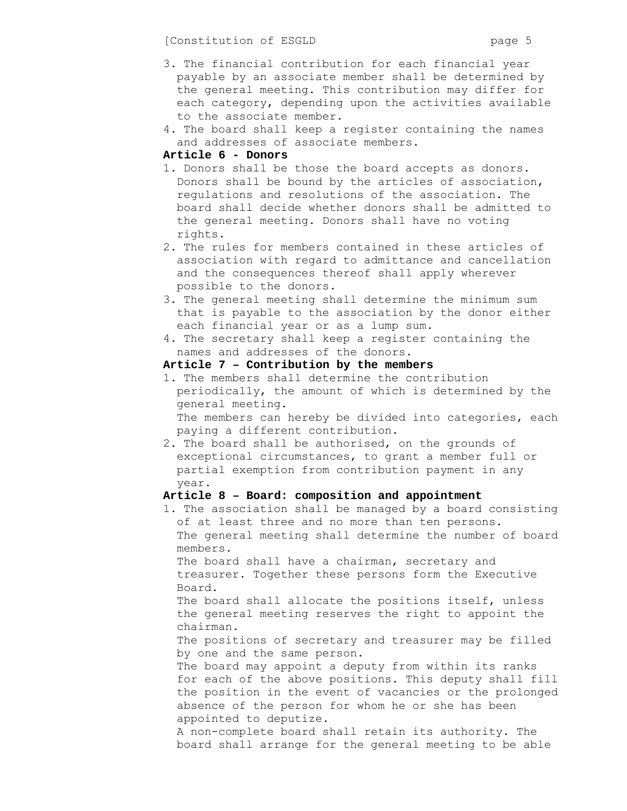[Constitution of ESGLD page 5

- 3. The financial contribution for each financial year payable by an associate member shall be determined by the general meeting. This contribution may differ for each category, depending upon the activities available to the associate member.
- 4. The board shall keep a register containing the names and addresses of associate members.

## **Article 6 - Donors**

- 1. Donors shall be those the board accepts as donors. Donors shall be bound by the articles of association, regulations and resolutions of the association. The board shall decide whether donors shall be admitted to the general meeting. Donors shall have no voting rights.
- 2. The rules for members contained in these articles of association with regard to admittance and cancellation and the consequences thereof shall apply wherever possible to the donors.
- 3. The general meeting shall determine the minimum sum that is payable to the association by the donor either each financial year or as a lump sum.
- 4. The secretary shall keep a register containing the names and addresses of the donors.

# **Article 7 – Contribution by the members**

1. The members shall determine the contribution periodically, the amount of which is determined by the general meeting. The members can hereby be divided into categories, each

paying a different contribution.

2. The board shall be authorised, on the grounds of exceptional circumstances, to grant a member full or partial exemption from contribution payment in any year.

# **Article 8 – Board: composition and appointment**

1. The association shall be managed by a board consisting of at least three and no more than ten persons. The general meeting shall determine the number of board members.

The board shall have a chairman, secretary and treasurer. Together these persons form the Executive Board.

The board shall allocate the positions itself, unless the general meeting reserves the right to appoint the chairman.

The positions of secretary and treasurer may be filled by one and the same person.

The board may appoint a deputy from within its ranks for each of the above positions. This deputy shall fill the position in the event of vacancies or the prolonged absence of the person for whom he or she has been appointed to deputize.

A non-complete board shall retain its authority. The board shall arrange for the general meeting to be able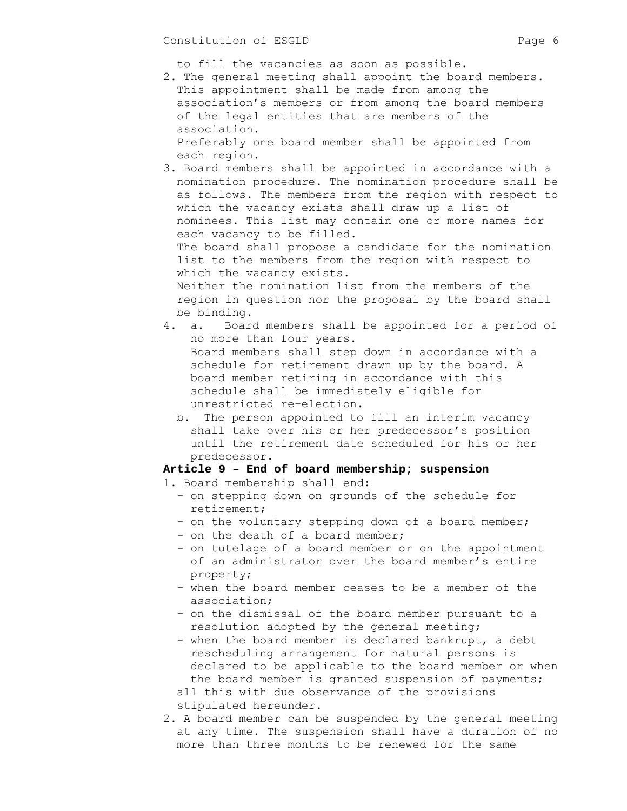to fill the vacancies as soon as possible.

2. The general meeting shall appoint the board members. This appointment shall be made from among the association's members or from among the board members of the legal entities that are members of the association. Preferably one board member shall be appointed from each region.

3. Board members shall be appointed in accordance with a nomination procedure. The nomination procedure shall be as follows. The members from the region with respect to which the vacancy exists shall draw up a list of nominees. This list may contain one or more names for each vacancy to be filled. The board shall propose a candidate for the nomination list to the members from the region with respect to which the vacancy exists. Neither the nomination list from the members of the region in question nor the proposal by the board shall be binding.

- 4. a. Board members shall be appointed for a period of no more than four years. Board members shall step down in accordance with a schedule for retirement drawn up by the board. A board member retiring in accordance with this schedule shall be immediately eligible for unrestricted re-election.
	- b. The person appointed to fill an interim vacancy shall take over his or her predecessor's position until the retirement date scheduled for his or her predecessor.

### **Article 9 – End of board membership; suspension**

- 1. Board membership shall end:
	- on stepping down on grounds of the schedule for retirement;
	- on the voluntary stepping down of a board member;
	- on the death of a board member;
	- on tutelage of a board member or on the appointment of an administrator over the board member's entire property;
	- when the board member ceases to be a member of the association;
	- on the dismissal of the board member pursuant to a resolution adopted by the general meeting;
	- when the board member is declared bankrupt, a debt rescheduling arrangement for natural persons is declared to be applicable to the board member or when the board member is granted suspension of payments; all this with due observance of the provisions stipulated hereunder.
- 2. A board member can be suspended by the general meeting at any time. The suspension shall have a duration of no more than three months to be renewed for the same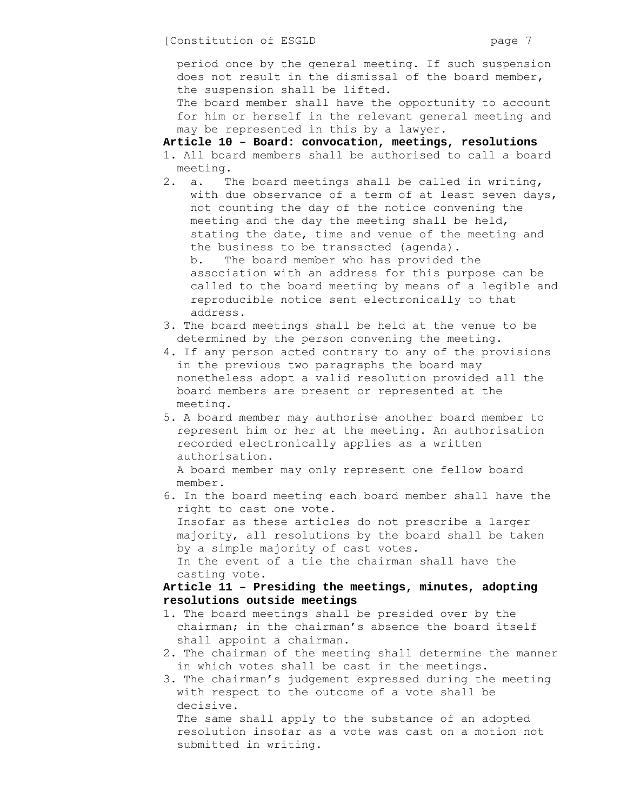period once by the general meeting. If such suspension does not result in the dismissal of the board member, the suspension shall be lifted.

The board member shall have the opportunity to account for him or herself in the relevant general meeting and may be represented in this by a lawyer.

**Article 10 – Board: convocation, meetings, resolutions** 

- 1. All board members shall be authorised to call a board meeting.
- 2. a. The board meetings shall be called in writing, with due observance of a term of at least seven days, not counting the day of the notice convening the meeting and the day the meeting shall be held, stating the date, time and venue of the meeting and the business to be transacted (agenda). b. The board member who has provided the association with an address for this purpose can be called to the board meeting by means of a legible and reproducible notice sent electronically to that
- address. 3. The board meetings shall be held at the venue to be determined by the person convening the meeting.
- 4. If any person acted contrary to any of the provisions in the previous two paragraphs the board may nonetheless adopt a valid resolution provided all the board members are present or represented at the meeting.
- 5. A board member may authorise another board member to represent him or her at the meeting. An authorisation recorded electronically applies as a written authorisation.

A board member may only represent one fellow board member.

6. In the board meeting each board member shall have the right to cast one vote.

Insofar as these articles do not prescribe a larger majority, all resolutions by the board shall be taken by a simple majority of cast votes.

In the event of a tie the chairman shall have the casting vote.

# **Article 11 – Presiding the meetings, minutes, adopting resolutions outside meetings**

- 1. The board meetings shall be presided over by the chairman; in the chairman's absence the board itself shall appoint a chairman.
- 2. The chairman of the meeting shall determine the manner in which votes shall be cast in the meetings.
- 3. The chairman's judgement expressed during the meeting with respect to the outcome of a vote shall be decisive.

The same shall apply to the substance of an adopted resolution insofar as a vote was cast on a motion not submitted in writing.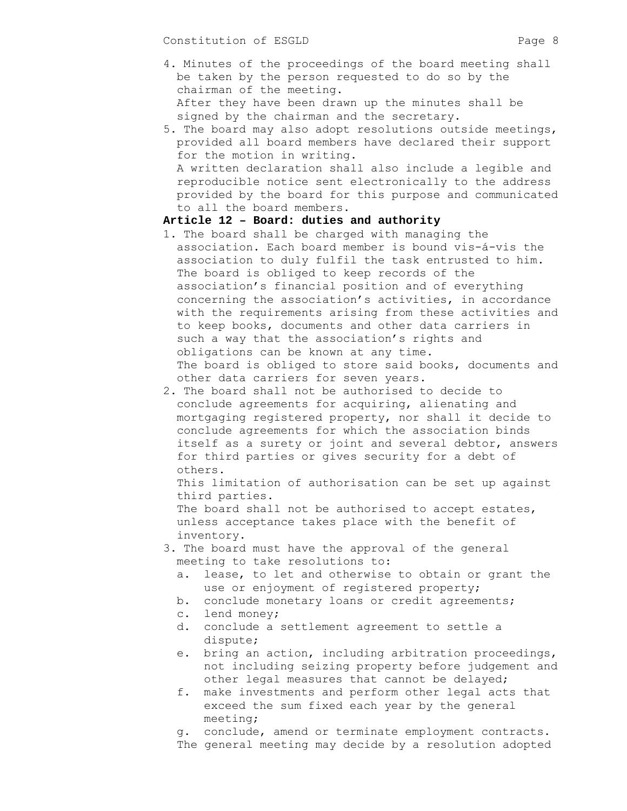- 4. Minutes of the proceedings of the board meeting shall be taken by the person requested to do so by the chairman of the meeting. After they have been drawn up the minutes shall be signed by the chairman and the secretary.
- 5. The board may also adopt resolutions outside meetings, provided all board members have declared their support for the motion in writing. A written declaration shall also include a legible and reproducible notice sent electronically to the address provided by the board for this purpose and communicated to all the board members.

#### **Article 12 – Board: duties and authority**

- 1. The board shall be charged with managing the association. Each board member is bound vis-á-vis the association to duly fulfil the task entrusted to him. The board is obliged to keep records of the association's financial position and of everything concerning the association's activities, in accordance with the requirements arising from these activities and to keep books, documents and other data carriers in such a way that the association's rights and obligations can be known at any time. The board is obliged to store said books, documents and other data carriers for seven years.
- 2. The board shall not be authorised to decide to conclude agreements for acquiring, alienating and mortgaging registered property, nor shall it decide to conclude agreements for which the association binds itself as a surety or joint and several debtor, answers for third parties or gives security for a debt of others.

This limitation of authorisation can be set up against third parties.

The board shall not be authorised to accept estates, unless acceptance takes place with the benefit of inventory.

- 3. The board must have the approval of the general meeting to take resolutions to:
	- a. lease, to let and otherwise to obtain or grant the use or enjoyment of registered property;
	- b. conclude monetary loans or credit agreements;
	- c. lend money;
	- d. conclude a settlement agreement to settle a dispute;
	- e. bring an action, including arbitration proceedings, not including seizing property before judgement and other legal measures that cannot be delayed;
	- f. make investments and perform other legal acts that exceed the sum fixed each year by the general meeting;

g. conclude, amend or terminate employment contracts.

The general meeting may decide by a resolution adopted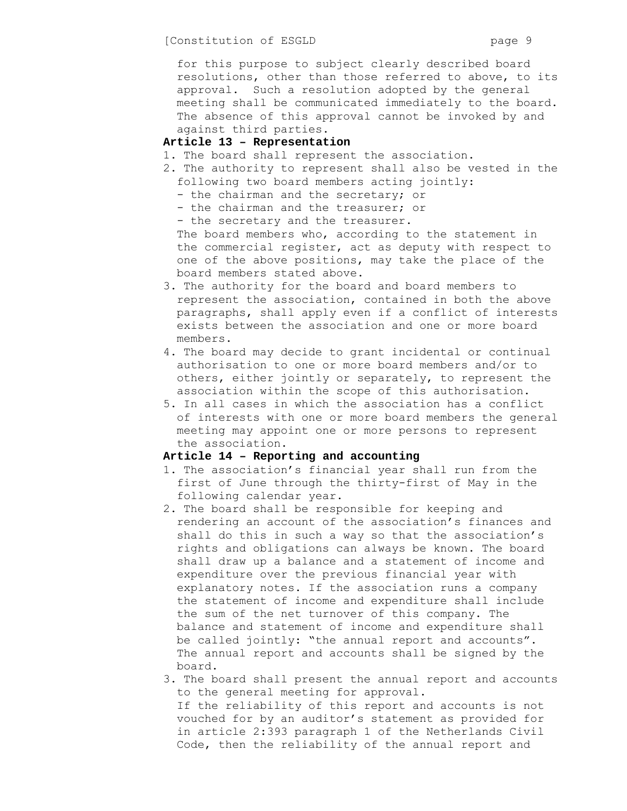for this purpose to subject clearly described board resolutions, other than those referred to above, to its approval. Such a resolution adopted by the general meeting shall be communicated immediately to the board. The absence of this approval cannot be invoked by and against third parties.

## **Article 13 – Representation**

- 1. The board shall represent the association.
- 2. The authority to represent shall also be vested in the following two board members acting jointly:
	- the chairman and the secretary; or
	- the chairman and the treasurer; or
	- the secretary and the treasurer.

The board members who, according to the statement in the commercial register, act as deputy with respect to one of the above positions, may take the place of the board members stated above.

- 3. The authority for the board and board members to represent the association, contained in both the above paragraphs, shall apply even if a conflict of interests exists between the association and one or more board members.
- 4. The board may decide to grant incidental or continual authorisation to one or more board members and/or to others, either jointly or separately, to represent the association within the scope of this authorisation.
- 5. In all cases in which the association has a conflict of interests with one or more board members the general meeting may appoint one or more persons to represent the association.

### **Article 14 – Reporting and accounting**

- 1. The association's financial year shall run from the first of June through the thirty-first of May in the following calendar year.
- 2. The board shall be responsible for keeping and rendering an account of the association's finances and shall do this in such a way so that the association's rights and obligations can always be known. The board shall draw up a balance and a statement of income and expenditure over the previous financial year with explanatory notes. If the association runs a company the statement of income and expenditure shall include the sum of the net turnover of this company. The balance and statement of income and expenditure shall be called jointly: "the annual report and accounts". The annual report and accounts shall be signed by the board.
- 3. The board shall present the annual report and accounts to the general meeting for approval. If the reliability of this report and accounts is not vouched for by an auditor's statement as provided for in article 2:393 paragraph 1 of the Netherlands Civil Code, then the reliability of the annual report and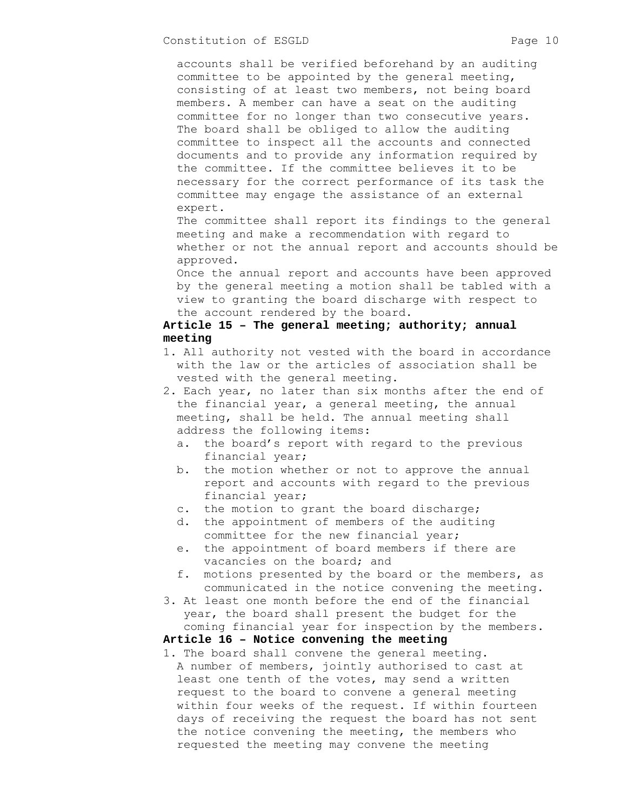accounts shall be verified beforehand by an auditing committee to be appointed by the general meeting, consisting of at least two members, not being board members. A member can have a seat on the auditing committee for no longer than two consecutive years. The board shall be obliged to allow the auditing committee to inspect all the accounts and connected documents and to provide any information required by the committee. If the committee believes it to be necessary for the correct performance of its task the committee may engage the assistance of an external expert.

The committee shall report its findings to the general meeting and make a recommendation with regard to whether or not the annual report and accounts should be approved.

Once the annual report and accounts have been approved by the general meeting a motion shall be tabled with a view to granting the board discharge with respect to the account rendered by the board.

# **Article 15 – The general meeting; authority; annual meeting**

- 1. All authority not vested with the board in accordance with the law or the articles of association shall be vested with the general meeting.
- 2. Each year, no later than six months after the end of the financial year, a general meeting, the annual meeting, shall be held. The annual meeting shall address the following items:
	- a. the board's report with regard to the previous financial year;
	- b. the motion whether or not to approve the annual report and accounts with regard to the previous financial year;
	- c. the motion to grant the board discharge;
	- d. the appointment of members of the auditing committee for the new financial year;
	- e. the appointment of board members if there are vacancies on the board; and
	- f. motions presented by the board or the members, as communicated in the notice convening the meeting.
- 3. At least one month before the end of the financial year, the board shall present the budget for the coming financial year for inspection by the members.

#### **Article 16 – Notice convening the meeting**

1. The board shall convene the general meeting. A number of members, jointly authorised to cast at least one tenth of the votes, may send a written request to the board to convene a general meeting within four weeks of the request. If within fourteen days of receiving the request the board has not sent the notice convening the meeting, the members who requested the meeting may convene the meeting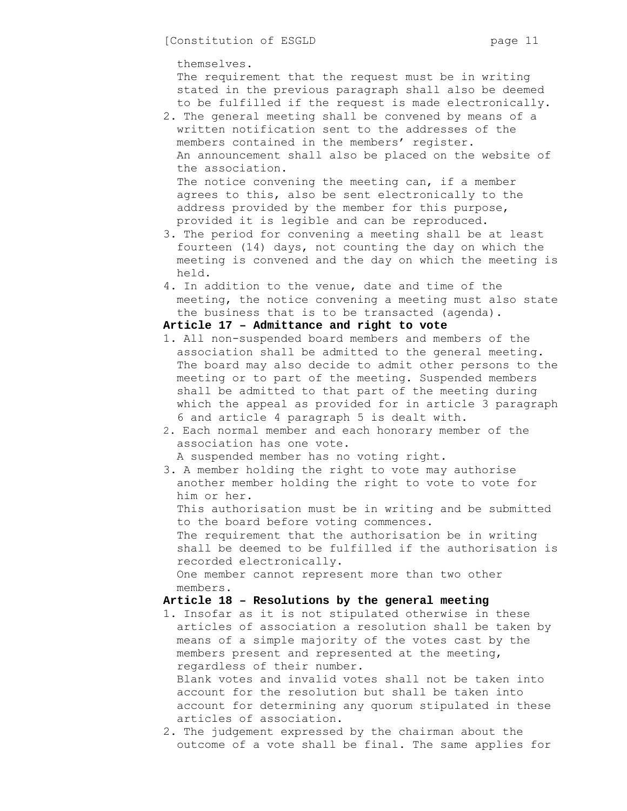themselves.

 The requirement that the request must be in writing stated in the previous paragraph shall also be deemed to be fulfilled if the request is made electronically.

2. The general meeting shall be convened by means of a written notification sent to the addresses of the members contained in the members' register. An announcement shall also be placed on the website of the association. The notice convening the meeting can, if a member agrees to this, also be sent electronically to the address provided by the member for this purpose,

provided it is legible and can be reproduced.

- 3. The period for convening a meeting shall be at least fourteen (14) days, not counting the day on which the meeting is convened and the day on which the meeting is held.
- 4. In addition to the venue, date and time of the meeting, the notice convening a meeting must also state the business that is to be transacted (agenda).

### **Article 17 – Admittance and right to vote**

- 1. All non-suspended board members and members of the association shall be admitted to the general meeting. The board may also decide to admit other persons to the meeting or to part of the meeting. Suspended members shall be admitted to that part of the meeting during which the appeal as provided for in article 3 paragraph 6 and article 4 paragraph 5 is dealt with.
- 2. Each normal member and each honorary member of the association has one vote.

A suspended member has no voting right.

3. A member holding the right to vote may authorise another member holding the right to vote to vote for him or her.

This authorisation must be in writing and be submitted to the board before voting commences.

 The requirement that the authorisation be in writing shall be deemed to be fulfilled if the authorisation is recorded electronically.

One member cannot represent more than two other members.

# **Article 18 – Resolutions by the general meeting**

1. Insofar as it is not stipulated otherwise in these articles of association a resolution shall be taken by means of a simple majority of the votes cast by the members present and represented at the meeting, regardless of their number.

Blank votes and invalid votes shall not be taken into account for the resolution but shall be taken into account for determining any quorum stipulated in these articles of association.

2. The judgement expressed by the chairman about the outcome of a vote shall be final. The same applies for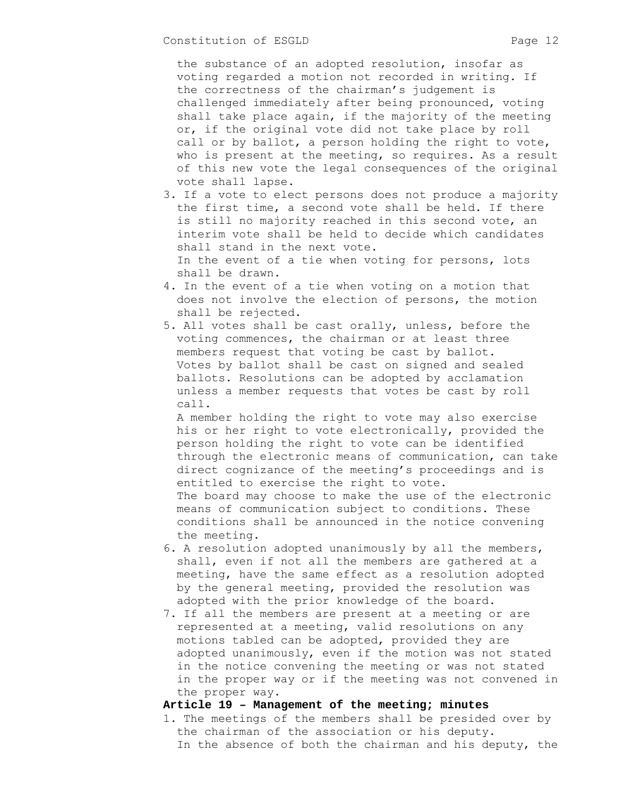the substance of an adopted resolution, insofar as voting regarded a motion not recorded in writing. If the correctness of the chairman's judgement is challenged immediately after being pronounced, voting shall take place again, if the majority of the meeting or, if the original vote did not take place by roll call or by ballot, a person holding the right to vote, who is present at the meeting, so requires. As a result of this new vote the legal consequences of the original vote shall lapse.

- 3. If a vote to elect persons does not produce a majority the first time, a second vote shall be held. If there is still no majority reached in this second vote, an interim vote shall be held to decide which candidates shall stand in the next vote. In the event of a tie when voting for persons, lots
	- shall be drawn.
- 4. In the event of a tie when voting on a motion that does not involve the election of persons, the motion shall be rejected.
- 5. All votes shall be cast orally, unless, before the voting commences, the chairman or at least three members request that voting be cast by ballot. Votes by ballot shall be cast on signed and sealed ballots. Resolutions can be adopted by acclamation unless a member requests that votes be cast by roll call.

 A member holding the right to vote may also exercise his or her right to vote electronically, provided the person holding the right to vote can be identified through the electronic means of communication, can take direct cognizance of the meeting's proceedings and is entitled to exercise the right to vote. The board may choose to make the use of the electronic means of communication subject to conditions. These conditions shall be announced in the notice convening the meeting.

- 6. A resolution adopted unanimously by all the members, shall, even if not all the members are gathered at a meeting, have the same effect as a resolution adopted by the general meeting, provided the resolution was adopted with the prior knowledge of the board.
- 7. If all the members are present at a meeting or are represented at a meeting, valid resolutions on any motions tabled can be adopted, provided they are adopted unanimously, even if the motion was not stated in the notice convening the meeting or was not stated in the proper way or if the meeting was not convened in the proper way.

#### **Article 19 – Management of the meeting; minutes**

1. The meetings of the members shall be presided over by the chairman of the association or his deputy. In the absence of both the chairman and his deputy, the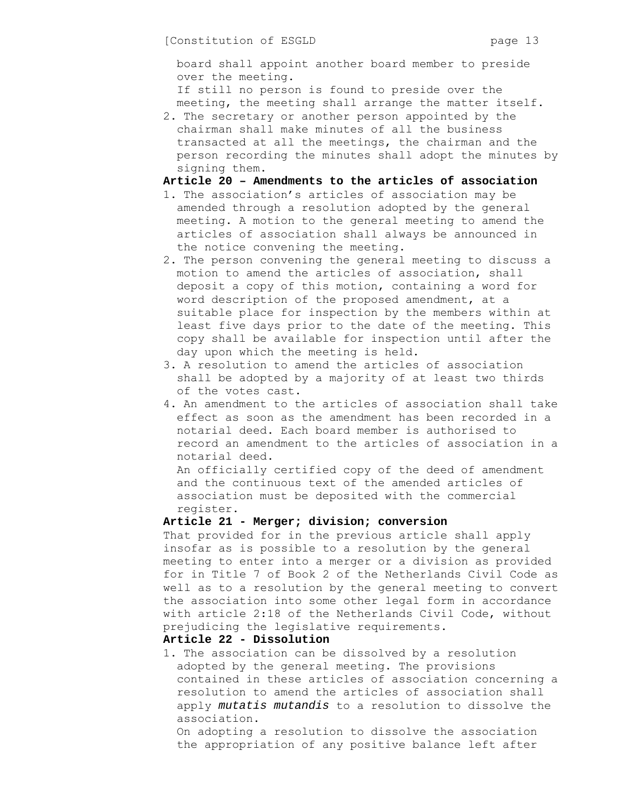board shall appoint another board member to preside over the meeting.

If still no person is found to preside over the meeting, the meeting shall arrange the matter itself.

2. The secretary or another person appointed by the chairman shall make minutes of all the business transacted at all the meetings, the chairman and the person recording the minutes shall adopt the minutes by signing them.

## **Article 20 – Amendments to the articles of association**

- 1. The association's articles of association may be amended through a resolution adopted by the general meeting. A motion to the general meeting to amend the articles of association shall always be announced in the notice convening the meeting.
- 2. The person convening the general meeting to discuss a motion to amend the articles of association, shall deposit a copy of this motion, containing a word for word description of the proposed amendment, at a suitable place for inspection by the members within at least five days prior to the date of the meeting. This copy shall be available for inspection until after the day upon which the meeting is held.
- 3. A resolution to amend the articles of association shall be adopted by a majority of at least two thirds of the votes cast.
- 4. An amendment to the articles of association shall take effect as soon as the amendment has been recorded in a notarial deed. Each board member is authorised to record an amendment to the articles of association in a notarial deed.

An officially certified copy of the deed of amendment and the continuous text of the amended articles of association must be deposited with the commercial register.

# **Article 21 - Merger; division; conversion**

That provided for in the previous article shall apply insofar as is possible to a resolution by the general meeting to enter into a merger or a division as provided for in Title 7 of Book 2 of the Netherlands Civil Code as well as to a resolution by the general meeting to convert the association into some other legal form in accordance with article 2:18 of the Netherlands Civil Code, without prejudicing the legislative requirements.

#### **Article 22 - Dissolution**

1. The association can be dissolved by a resolution adopted by the general meeting. The provisions contained in these articles of association concerning a resolution to amend the articles of association shall apply *mutatis mutandis* to a resolution to dissolve the association.

On adopting a resolution to dissolve the association the appropriation of any positive balance left after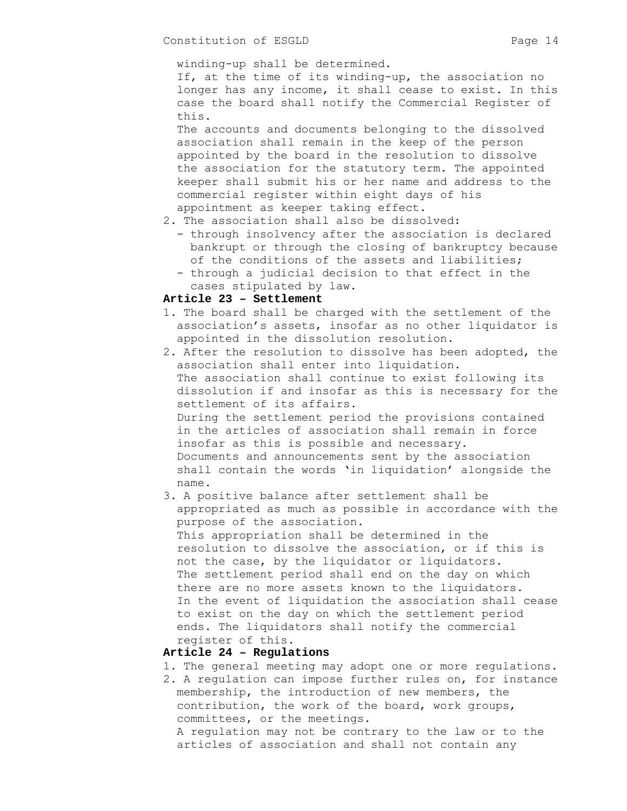winding-up shall be determined.

If, at the time of its winding-up, the association no longer has any income, it shall cease to exist. In this case the board shall notify the Commercial Register of this.

The accounts and documents belonging to the dissolved association shall remain in the keep of the person appointed by the board in the resolution to dissolve the association for the statutory term. The appointed keeper shall submit his or her name and address to the commercial register within eight days of his appointment as keeper taking effect.

### 2. The association shall also be dissolved:

- through insolvency after the association is declared bankrupt or through the closing of bankruptcy because of the conditions of the assets and liabilities;
- through a judicial decision to that effect in the cases stipulated by law.

# **Article 23 – Settlement**

- 1. The board shall be charged with the settlement of the association's assets, insofar as no other liquidator is appointed in the dissolution resolution.
- 2. After the resolution to dissolve has been adopted, the association shall enter into liquidation. The association shall continue to exist following its dissolution if and insofar as this is necessary for the settlement of its affairs. During the settlement period the provisions contained in the articles of association shall remain in force insofar as this is possible and necessary. Documents and announcements sent by the association shall contain the words 'in liquidation' alongside the name.
- 3. A positive balance after settlement shall be appropriated as much as possible in accordance with the purpose of the association. This appropriation shall be determined in the resolution to dissolve the association, or if this is not the case, by the liquidator or liquidators. The settlement period shall end on the day on which there are no more assets known to the liquidators. In the event of liquidation the association shall cease to exist on the day on which the settlement period ends. The liquidators shall notify the commercial register of this.

# **Article 24 – Regulations**

- 1. The general meeting may adopt one or more regulations.
- 2. A regulation can impose further rules on, for instance membership, the introduction of new members, the contribution, the work of the board, work groups, committees, or the meetings.

A regulation may not be contrary to the law or to the articles of association and shall not contain any